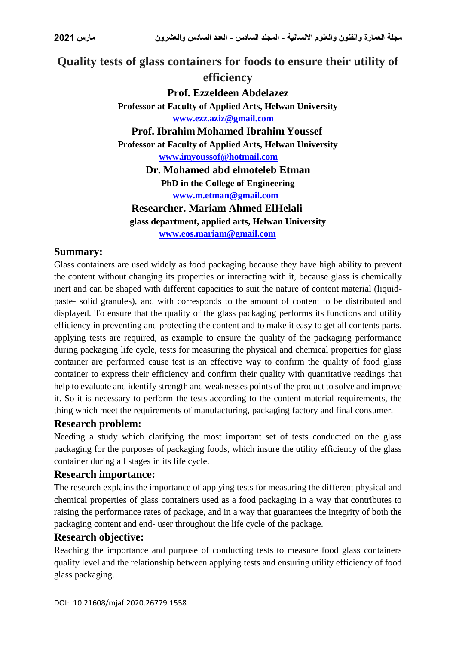# **Quality tests of glass containers for foods to ensure their utility of efficiency**

**Prof. Ezzeldeen Abdelazez Professor at Faculty of Applied Arts, Helwan University [www.ezz.aziz@gmail.com](http://www.ezz.aziz@gmail.com)**

**Prof. Ibrahim Mohamed Ibrahim Youssef Professor at Faculty of Applied Arts, Helwan University [www.imyoussof@hotmail.com](http://www.imyoussof@hotmail.com) Dr. Mohamed abd elmoteleb Etman PhD in the College of Engineering [www.m.etman@gmail.com](http://www.m.etman@gmail.com)**

**Researcher. Mariam Ahmed ElHelali glass department, applied arts, Helwan University [www.eos.mariam@gmail.com](http://www.eos.mariam@gmail.com)**

## **Summary:**

Glass containers are used widely as food packaging because they have high ability to prevent the content without changing its properties or interacting with it, because glass is chemically inert and can be shaped with different capacities to suit the nature of content material (liquidpaste- solid granules), and with corresponds to the amount of content to be distributed and displayed. To ensure that the quality of the glass packaging performs its functions and utility efficiency in preventing and protecting the content and to make it easy to get all contents parts, applying tests are required, as example to ensure the quality of the packaging performance during packaging life cycle, tests for measuring the physical and chemical properties for glass container are performed cause test is an effective way to confirm the quality of food glass container to express their efficiency and confirm their quality with quantitative readings that help to evaluate and identify strength and weaknesses points of the product to solve and improve it. So it is necessary to perform the tests according to the content material requirements, the thing which meet the requirements of manufacturing, packaging factory and final consumer.

## **Research problem:**

Needing a study which clarifying the most important set of tests conducted on the glass packaging for the purposes of packaging foods, which insure the utility efficiency of the glass container during all stages in its life cycle.

#### **Research importance:**

The research explains the importance of applying tests for measuring the different physical and chemical properties of glass containers used as a food packaging in a way that contributes to raising the performance rates of package, and in a way that guarantees the integrity of both the packaging content and end- user throughout the life cycle of the package.

## **Research objective:**

Reaching the importance and purpose of conducting tests to measure food glass containers quality level and the relationship between applying tests and ensuring utility efficiency of food glass packaging.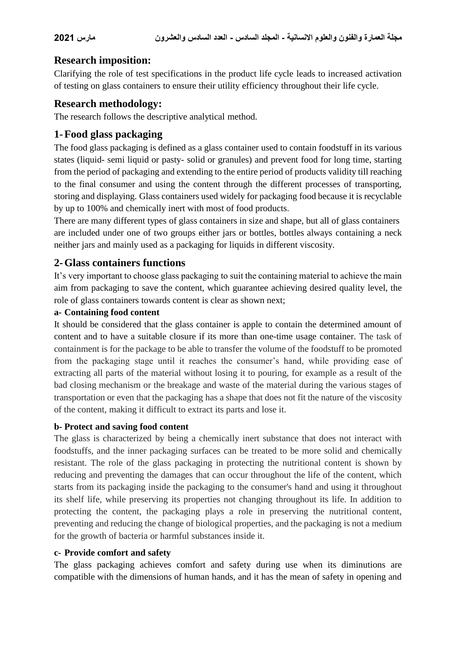## **Research imposition:**

Clarifying the role of test specifications in the product life cycle leads to increased activation of testing on glass containers to ensure their utility efficiency throughout their life cycle.

## **Research methodology:**

The research follows the descriptive analytical method.

# **1-Food glass packaging**

The food glass packaging is defined as a glass container used to contain foodstuff in its various states (liquid- semi liquid or pasty- solid or granules) and prevent food for long time, starting from the period of packaging and extending to the entire period of products validity till reaching to the final consumer and using the content through the different processes of transporting, storing and displaying. Glass containers used widely for packaging food because it is recyclable by up to 100% and chemically inert with most of food products.

There are many different types of glass containers in size and shape, but all of glass containers are included under one of two groups either jars or bottles, bottles always containing a neck neither jars and mainly used as a packaging for liquids in different viscosity.

# **2-Glass containers functions**

It's very important to choose glass packaging to suit the containing material to achieve the main aim from packaging to save the content, which guarantee achieving desired quality level, the role of glass containers towards content is clear as shown next;

#### **a- Containing food content**

It should be considered that the glass container is apple to contain the determined amount of content and to have a suitable closure if its more than one-time usage container. The task of containment is for the package to be able to transfer the volume of the foodstuff to be promoted from the packaging stage until it reaches the consumer's hand, while providing ease of extracting all parts of the material without losing it to pouring, for example as a result of the bad closing mechanism or the breakage and waste of the material during the various stages of transportation or even that the packaging has a shape that does not fit the nature of the viscosity of the content, making it difficult to extract its parts and lose it.

## **b- Protect and saving food content**

The glass is characterized by being a chemically inert substance that does not interact with foodstuffs, and the inner packaging surfaces can be treated to be more solid and chemically resistant. The role of the glass packaging in protecting the nutritional content is shown by reducing and preventing the damages that can occur throughout the life of the content, which starts from its packaging inside the packaging to the consumer's hand and using it throughout its shelf life, while preserving its properties not changing throughout its life. In addition to protecting the content, the packaging plays a role in preserving the nutritional content, preventing and reducing the change of biological properties, and the packaging is not a medium for the growth of bacteria or harmful substances inside it.

#### **c- Provide comfort and safety**

The glass packaging achieves comfort and safety during use when its diminutions are compatible with the dimensions of human hands, and it has the mean of safety in opening and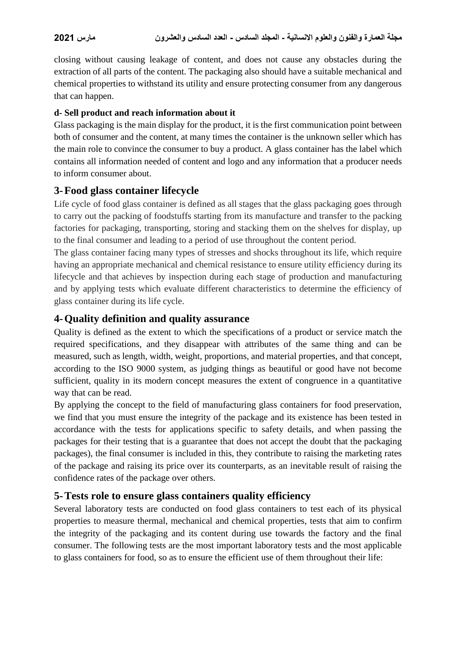closing without causing leakage of content, and does not cause any obstacles during the extraction of all parts of the content. The packaging also should have a suitable mechanical and chemical properties to withstand its utility and ensure protecting consumer from any dangerous that can happen.

#### **d- Sell product and reach information about it**

Glass packaging is the main display for the product, it is the first communication point between both of consumer and the content, at many times the container is the unknown seller which has the main role to convince the consumer to buy a product. A glass container has the label which contains all information needed of content and logo and any information that a producer needs to inform consumer about.

## **3-Food glass container lifecycle**

Life cycle of food glass container is defined as all stages that the glass packaging goes through to carry out the packing of foodstuffs starting from its manufacture and transfer to the packing factories for packaging, transporting, storing and stacking them on the shelves for display, up to the final consumer and leading to a period of use throughout the content period.

The glass container facing many types of stresses and shocks throughout its life, which require having an appropriate mechanical and chemical resistance to ensure utility efficiency during its lifecycle and that achieves by inspection during each stage of production and manufacturing and by applying tests which evaluate different characteristics to determine the efficiency of glass container during its life cycle.

## **4-Quality definition and quality assurance**

Quality is defined as the extent to which the specifications of a product or service match the required specifications, and they disappear with attributes of the same thing and can be measured, such as length, width, weight, proportions, and material properties, and that concept, according to the ISO 9000 system, as judging things as beautiful or good have not become sufficient, quality in its modern concept measures the extent of congruence in a quantitative way that can be read.

By applying the concept to the field of manufacturing glass containers for food preservation, we find that you must ensure the integrity of the package and its existence has been tested in accordance with the tests for applications specific to safety details, and when passing the packages for their testing that is a guarantee that does not accept the doubt that the packaging packages), the final consumer is included in this, they contribute to raising the marketing rates of the package and raising its price over its counterparts, as an inevitable result of raising the confidence rates of the package over others.

## **5-Tests role to ensure glass containers quality efficiency**

Several laboratory tests are conducted on food glass containers to test each of its physical properties to measure thermal, mechanical and chemical properties, tests that aim to confirm the integrity of the packaging and its content during use towards the factory and the final consumer. The following tests are the most important laboratory tests and the most applicable to glass containers for food, so as to ensure the efficient use of them throughout their life: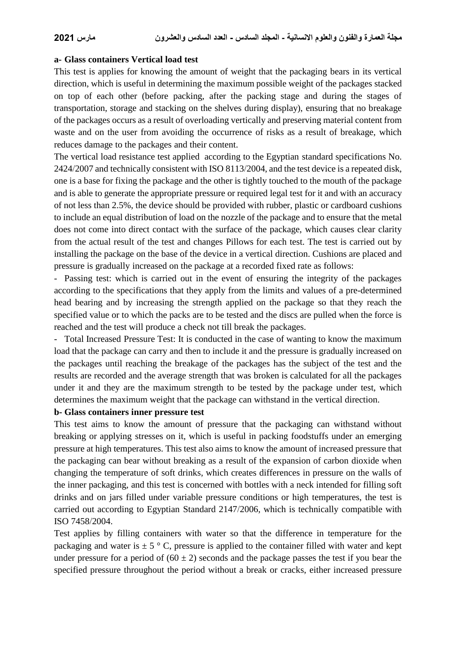#### **a- Glass containers Vertical load test**

This test is applies for knowing the amount of weight that the packaging bears in its vertical direction, which is useful in determining the maximum possible weight of the packages stacked on top of each other (before packing, after the packing stage and during the stages of transportation, storage and stacking on the shelves during display), ensuring that no breakage of the packages occurs as a result of overloading vertically and preserving material content from waste and on the user from avoiding the occurrence of risks as a result of breakage, which reduces damage to the packages and their content.

The vertical load resistance test applied according to the Egyptian standard specifications No. 2424/2007 and technically consistent with ISO 8113/2004, and the test device is a repeated disk, one is a base for fixing the package and the other is tightly touched to the mouth of the package and is able to generate the appropriate pressure or required legal test for it and with an accuracy of not less than 2.5%, the device should be provided with rubber, plastic or cardboard cushions to include an equal distribution of load on the nozzle of the package and to ensure that the metal does not come into direct contact with the surface of the package, which causes clear clarity from the actual result of the test and changes Pillows for each test. The test is carried out by installing the package on the base of the device in a vertical direction. Cushions are placed and pressure is gradually increased on the package at a recorded fixed rate as follows:

- Passing test: which is carried out in the event of ensuring the integrity of the packages according to the specifications that they apply from the limits and values of a pre-determined head bearing and by increasing the strength applied on the package so that they reach the specified value or to which the packs are to be tested and the discs are pulled when the force is reached and the test will produce a check not till break the packages.

- Total Increased Pressure Test: It is conducted in the case of wanting to know the maximum load that the package can carry and then to include it and the pressure is gradually increased on the packages until reaching the breakage of the packages has the subject of the test and the results are recorded and the average strength that was broken is calculated for all the packages under it and they are the maximum strength to be tested by the package under test, which determines the maximum weight that the package can withstand in the vertical direction.

#### **b- Glass containers inner pressure test**

This test aims to know the amount of pressure that the packaging can withstand without breaking or applying stresses on it, which is useful in packing foodstuffs under an emerging pressure at high temperatures. This test also aims to know the amount of increased pressure that the packaging can bear without breaking as a result of the expansion of carbon dioxide when changing the temperature of soft drinks, which creates differences in pressure on the walls of the inner packaging, and this test is concerned with bottles with a neck intended for filling soft drinks and on jars filled under variable pressure conditions or high temperatures, the test is carried out according to Egyptian Standard 2147/2006, which is technically compatible with ISO 7458/2004.

Test applies by filling containers with water so that the difference in temperature for the packaging and water is  $\pm$  5 ° C, pressure is applied to the container filled with water and kept under pressure for a period of  $(60 \pm 2)$  seconds and the package passes the test if you bear the specified pressure throughout the period without a break or cracks, either increased pressure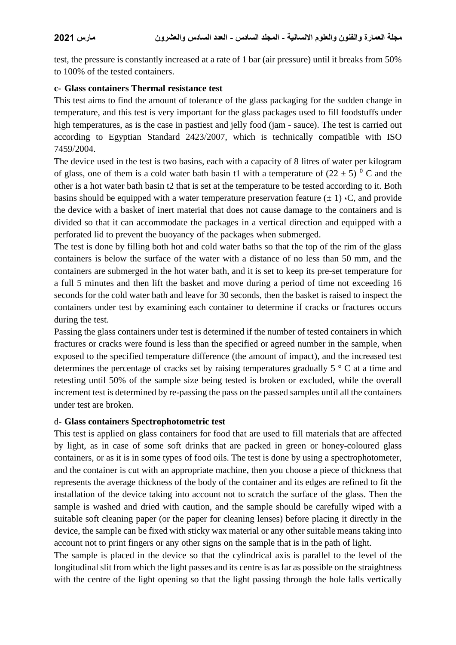test, the pressure is constantly increased at a rate of 1 bar (air pressure) until it breaks from 50% to 100% of the tested containers.

#### **c- Glass containers Thermal resistance test**

This test aims to find the amount of tolerance of the glass packaging for the sudden change in temperature, and this test is very important for the glass packages used to fill foodstuffs under high temperatures, as is the case in pastiest and jelly food (jam - sauce). The test is carried out according to Egyptian Standard 2423/2007, which is technically compatible with ISO 7459/2004.

The device used in the test is two basins, each with a capacity of 8 litres of water per kilogram of glass, one of them is a cold water bath basin t1 with a temperature of  $(22 \pm 5)^{0}$  C and the other is a hot water bath basin t2 that is set at the temperature to be tested according to it. Both basins should be equipped with a water temperature preservation feature  $(\pm 1)$   $\cdot$ C, and provide the device with a basket of inert material that does not cause damage to the containers and is divided so that it can accommodate the packages in a vertical direction and equipped with a perforated lid to prevent the buoyancy of the packages when submerged.

The test is done by filling both hot and cold water baths so that the top of the rim of the glass containers is below the surface of the water with a distance of no less than 50 mm, and the containers are submerged in the hot water bath, and it is set to keep its pre-set temperature for a full 5 minutes and then lift the basket and move during a period of time not exceeding 16 seconds for the cold water bath and leave for 30 seconds, then the basket is raised to inspect the containers under test by examining each container to determine if cracks or fractures occurs during the test.

Passing the glass containers under test is determined if the number of tested containers in which fractures or cracks were found is less than the specified or agreed number in the sample, when exposed to the specified temperature difference (the amount of impact), and the increased test determines the percentage of cracks set by raising temperatures gradually 5 ° C at a time and retesting until 50% of the sample size being tested is broken or excluded, while the overall increment test is determined by re-passing the pass on the passed samples until all the containers under test are broken.

#### d- **Glass containers Spectrophotometric test**

This test is applied on glass containers for food that are used to fill materials that are affected by light, as in case of some soft drinks that are packed in green or honey-coloured glass containers, or as it is in some types of food oils. The test is done by using a spectrophotometer, and the container is cut with an appropriate machine, then you choose a piece of thickness that represents the average thickness of the body of the container and its edges are refined to fit the installation of the device taking into account not to scratch the surface of the glass. Then the sample is washed and dried with caution, and the sample should be carefully wiped with a suitable soft cleaning paper (or the paper for cleaning lenses) before placing it directly in the device, the sample can be fixed with sticky wax material or any other suitable means taking into account not to print fingers or any other signs on the sample that is in the path of light.

The sample is placed in the device so that the cylindrical axis is parallel to the level of the longitudinal slit from which the light passes and its centre is as far as possible on the straightness with the centre of the light opening so that the light passing through the hole falls vertically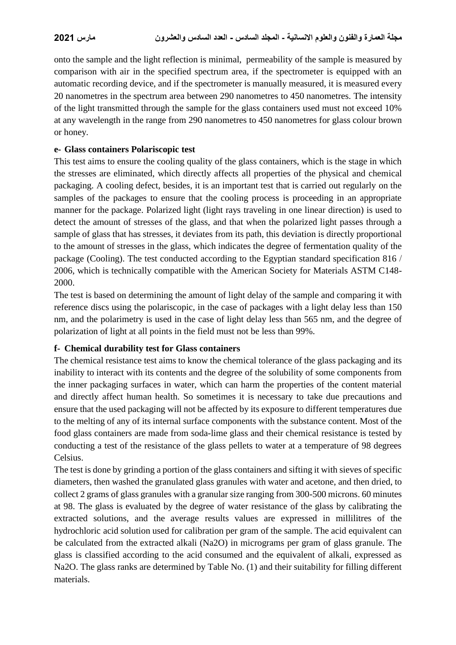onto the sample and the light reflection is minimal, permeability of the sample is measured by comparison with air in the specified spectrum area, if the spectrometer is equipped with an automatic recording device, and if the spectrometer is manually measured, it is measured every 20 nanometres in the spectrum area between 290 nanometres to 450 nanometres. The intensity of the light transmitted through the sample for the glass containers used must not exceed 10% at any wavelength in the range from 290 nanometres to 450 nanometres for glass colour brown or honey.

#### **e- Glass containers Polariscopic test**

This test aims to ensure the cooling quality of the glass containers, which is the stage in which the stresses are eliminated, which directly affects all properties of the physical and chemical packaging. A cooling defect, besides, it is an important test that is carried out regularly on the samples of the packages to ensure that the cooling process is proceeding in an appropriate manner for the package. Polarized light (light rays traveling in one linear direction) is used to detect the amount of stresses of the glass, and that when the polarized light passes through a sample of glass that has stresses, it deviates from its path, this deviation is directly proportional to the amount of stresses in the glass, which indicates the degree of fermentation quality of the package (Cooling). The test conducted according to the Egyptian standard specification 816 / 2006, which is technically compatible with the American Society for Materials ASTM C148- 2000.

The test is based on determining the amount of light delay of the sample and comparing it with reference discs using the polariscopic, in the case of packages with a light delay less than 150 nm, and the polarimetry is used in the case of light delay less than 565 nm, and the degree of polarization of light at all points in the field must not be less than 99%.

## **f- Chemical durability test for Glass containers**

The chemical resistance test aims to know the chemical tolerance of the glass packaging and its inability to interact with its contents and the degree of the solubility of some components from the inner packaging surfaces in water, which can harm the properties of the content material and directly affect human health. So sometimes it is necessary to take due precautions and ensure that the used packaging will not be affected by its exposure to different temperatures due to the melting of any of its internal surface components with the substance content. Most of the food glass containers are made from soda-lime glass and their chemical resistance is tested by conducting a test of the resistance of the glass pellets to water at a temperature of 98 degrees Celsius.

The test is done by grinding a portion of the glass containers and sifting it with sieves of specific diameters, then washed the granulated glass granules with water and acetone, and then dried, to collect 2 grams of glass granules with a granular size ranging from 300-500 microns. 60 minutes at 98. The glass is evaluated by the degree of water resistance of the glass by calibrating the extracted solutions, and the average results values are expressed in millilitres of the hydrochloric acid solution used for calibration per gram of the sample. The acid equivalent can be calculated from the extracted alkali (Na2O) in micrograms per gram of glass granule. The glass is classified according to the acid consumed and the equivalent of alkali, expressed as Na2O. The glass ranks are determined by Table No. (1) and their suitability for filling different materials.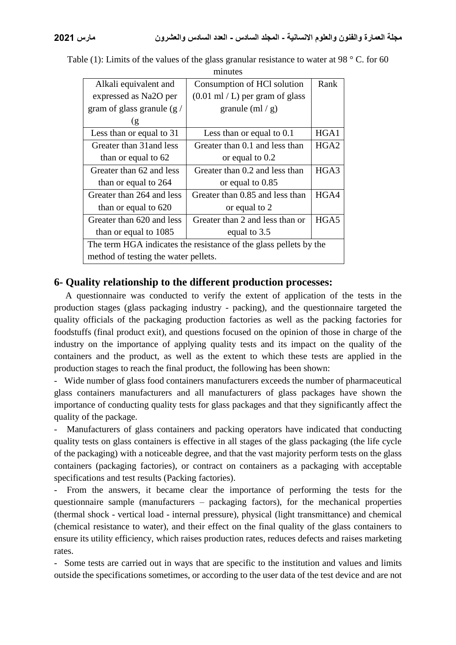| Consumption of HCl solution                                       | Rank             |
|-------------------------------------------------------------------|------------------|
| $(0.01 \text{ ml} / L)$ per gram of glass                         |                  |
| granule $\text{m1}/\text{g}$                                      |                  |
|                                                                   |                  |
| Less than or equal to $0.1$                                       | HGA1             |
| Greater than 0.1 and less than                                    | HGA <sub>2</sub> |
| or equal to $0.2$                                                 |                  |
| Greater than 0.2 and less than                                    | HGA3             |
| or equal to 0.85                                                  |                  |
| Greater than 0.85 and less than                                   | HGA4             |
| or equal to 2                                                     |                  |
| Greater than 2 and less than or                                   | HGA5             |
| equal to 3.5                                                      |                  |
| The term HGA indicates the resistance of the glass pellets by the |                  |
| method of testing the water pellets.                              |                  |
|                                                                   |                  |

Table (1): Limits of the values of the glass granular resistance to water at 98  $\degree$  C. for 60 minutes

## **6- Quality relationship to the different production processes:**

 A questionnaire was conducted to verify the extent of application of the tests in the production stages (glass packaging industry - packing), and the questionnaire targeted the quality officials of the packaging production factories as well as the packing factories for foodstuffs (final product exit), and questions focused on the opinion of those in charge of the industry on the importance of applying quality tests and its impact on the quality of the containers and the product, as well as the extent to which these tests are applied in the production stages to reach the final product, the following has been shown:

- Wide number of glass food containers manufacturers exceeds the number of pharmaceutical glass containers manufacturers and all manufacturers of glass packages have shown the importance of conducting quality tests for glass packages and that they significantly affect the quality of the package.

- Manufacturers of glass containers and packing operators have indicated that conducting quality tests on glass containers is effective in all stages of the glass packaging (the life cycle of the packaging) with a noticeable degree, and that the vast majority perform tests on the glass containers (packaging factories), or contract on containers as a packaging with acceptable specifications and test results (Packing factories).

From the answers, it became clear the importance of performing the tests for the questionnaire sample (manufacturers – packaging factors), for the mechanical properties (thermal shock - vertical load - internal pressure), physical (light transmittance) and chemical (chemical resistance to water), and their effect on the final quality of the glass containers to ensure its utility efficiency, which raises production rates, reduces defects and raises marketing rates.

- Some tests are carried out in ways that are specific to the institution and values and limits outside the specifications sometimes, or according to the user data of the test device and are not